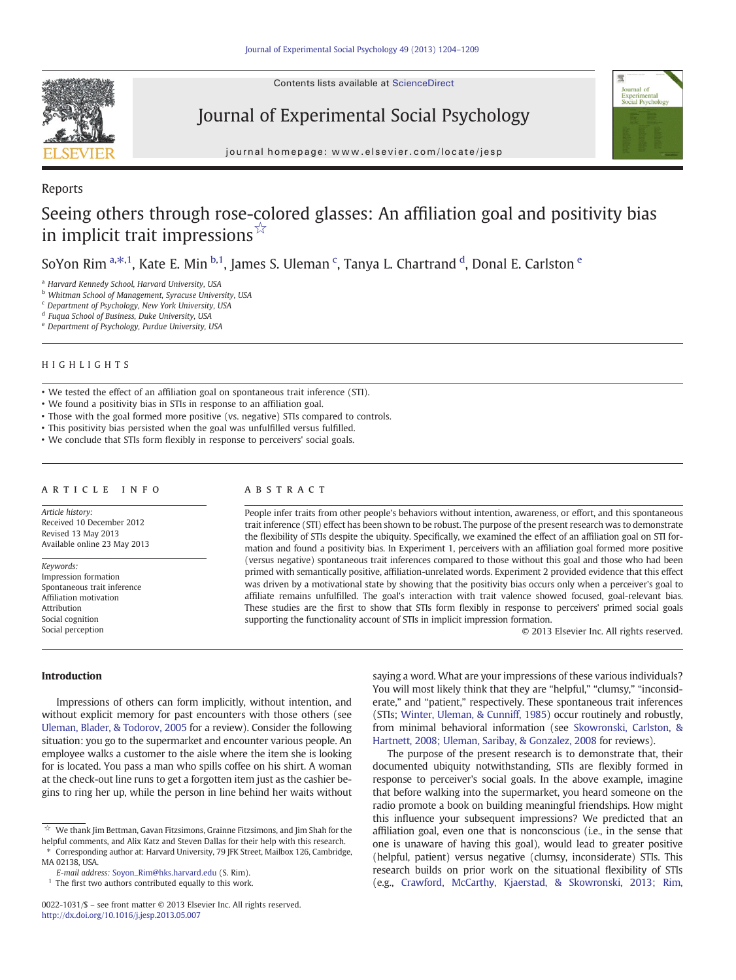

Contents lists available at ScienceDirect

# Journal of Experimental Social Psychology



journal homepage: www.elsevier.com/locate/jesp

# Reports

# Seeing others through rose-colored glasses: An affiliation goal and positivity bias in implicit trait impressions $\hat{X}$

SoYon Rim <sup>a, $\ast$ ,1</sup>, Kate E. Min <sup>b,1</sup>, James S. Uleman <sup>c</sup>, Tanya L. Chartrand <sup>d</sup>, Donal E. Carlston <sup>e</sup>

<sup>a</sup> Harvard Kennedy School, Harvard University, USA

**b** Whitman School of Management, Syracuse University, USA

<sup>c</sup> Department of Psychology, New York University, USA

<sup>d</sup> Fuqua School of Business, Duke University, USA

<sup>e</sup> Department of Psychology, Purdue University, USA

# HIGHLIGHTS

• We tested the effect of an affiliation goal on spontaneous trait inference (STI).

• We found a positivity bias in STIs in response to an affiliation goal.

• Those with the goal formed more positive (vs. negative) STIs compared to controls.

• This positivity bias persisted when the goal was unfulfilled versus fulfilled.

• We conclude that STIs form flexibly in response to perceivers' social goals.

# article info abstract

Article history: Received 10 December 2012 Revised 13 May 2013 Available online 23 May 2013

Keywords: Impression formation Spontaneous trait inference Affiliation motivation Attribution Social cognition Social perception

People infer traits from other people's behaviors without intention, awareness, or effort, and this spontaneous trait inference (STI) effect has been shown to be robust. The purpose of the present research was to demonstrate the flexibility of STIs despite the ubiquity. Specifically, we examined the effect of an affiliation goal on STI formation and found a positivity bias. In Experiment 1, perceivers with an affiliation goal formed more positive (versus negative) spontaneous trait inferences compared to those without this goal and those who had been primed with semantically positive, affiliation-unrelated words. Experiment 2 provided evidence that this effect was driven by a motivational state by showing that the positivity bias occurs only when a perceiver's goal to affiliate remains unfulfilled. The goal's interaction with trait valence showed focused, goal-relevant bias. These studies are the first to show that STIs form flexibly in response to perceivers' primed social goals supporting the functionality account of STIs in implicit impression formation.

© 2013 Elsevier Inc. All rights reserved.

#### Introduction

Impressions of others can form implicitly, without intention, and without explicit memory for past encounters with those others (see [Uleman, Blader, & Todorov, 2005](#page-5-0) for a review). Consider the following situation: you go to the supermarket and encounter various people. An employee walks a customer to the aisle where the item she is looking for is located. You pass a man who spills coffee on his shirt. A woman at the check-out line runs to get a forgotten item just as the cashier begins to ring her up, while the person in line behind her waits without

⁎ Corresponding author at: Harvard University, 79 JFK Street, Mailbox 126, Cambridge, MA 02138, USA.

saying a word. What are your impressions of these various individuals? You will most likely think that they are "helpful," "clumsy," "inconsiderate," and "patient," respectively. These spontaneous trait inferences (STIs; [Winter, Uleman, & Cunniff, 1985](#page-5-0)) occur routinely and robustly, from minimal behavioral information (see [Skowronski, Carlston, &](#page-5-0) [Hartnett, 2008; Uleman, Saribay, & Gonzalez, 2008](#page-5-0) for reviews).

The purpose of the present research is to demonstrate that, their documented ubiquity notwithstanding, STIs are flexibly formed in response to perceiver's social goals. In the above example, imagine that before walking into the supermarket, you heard someone on the radio promote a book on building meaningful friendships. How might this influence your subsequent impressions? We predicted that an affiliation goal, even one that is nonconscious (i.e., in the sense that one is unaware of having this goal), would lead to greater positive (helpful, patient) versus negative (clumsy, inconsiderate) STIs. This research builds on prior work on the situational flexibility of STIs (e.g., [Crawford, McCarthy, Kjaerstad, & Skowronski, 2013; Rim,](#page-5-0)

We thank Jim Bettman, Gavan Fitzsimons, Grainne Fitzsimons, and Jim Shah for the helpful comments, and Alix Katz and Steven Dallas for their help with this research.

E-mail address: [Soyon\\_Rim@hks.harvard.edu](mailto:Soyon_Rim@hks.harvard.edu) (S. Rim).

 $^{\rm 1}$  The first two authors contributed equally to this work.

<sup>0022-1031/\$</sup> – see front matter © 2013 Elsevier Inc. All rights reserved. <http://dx.doi.org/10.1016/j.jesp.2013.05.007>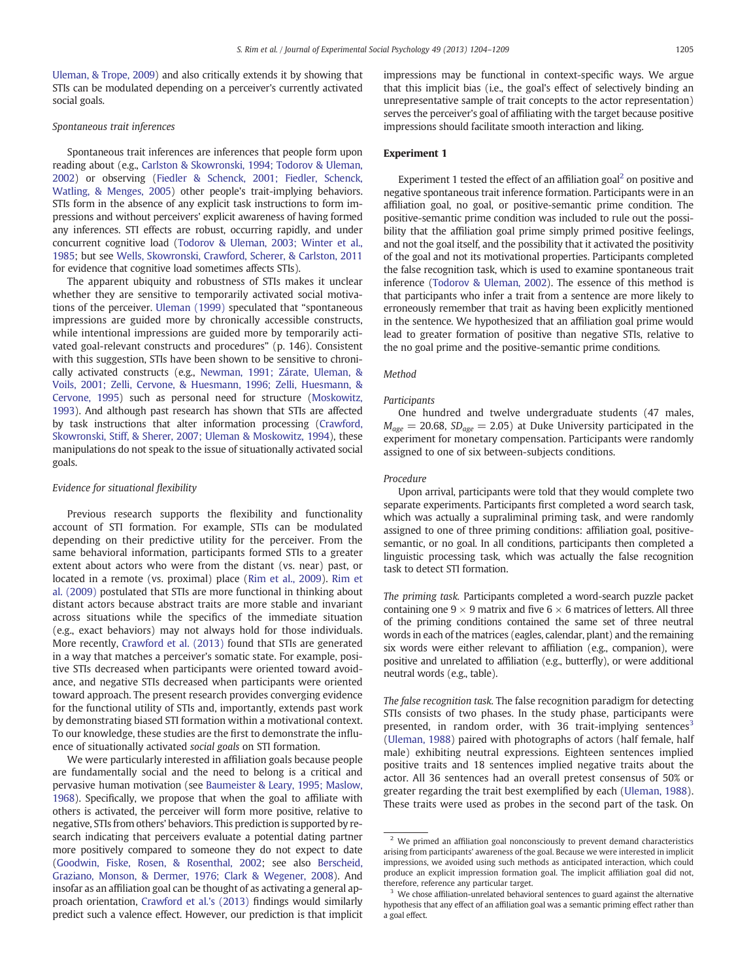[Uleman, & Trope, 2009](#page-5-0)) and also critically extends it by showing that STIs can be modulated depending on a perceiver's currently activated social goals.

#### Spontaneous trait inferences

Spontaneous trait inferences are inferences that people form upon reading about (e.g., [Carlston & Skowronski, 1994; Todorov & Uleman,](#page-5-0) [2002](#page-5-0)) or observing ([Fiedler & Schenck, 2001; Fiedler, Schenck,](#page-5-0) [Watling, & Menges, 2005](#page-5-0)) other people's trait-implying behaviors. STIs form in the absence of any explicit task instructions to form impressions and without perceivers' explicit awareness of having formed any inferences. STI effects are robust, occurring rapidly, and under concurrent cognitive load [\(Todorov & Uleman, 2003; Winter et al.,](#page-5-0) [1985](#page-5-0); but see [Wells, Skowronski, Crawford, Scherer, & Carlston, 2011](#page-5-0) for evidence that cognitive load sometimes affects STIs).

The apparent ubiquity and robustness of STIs makes it unclear whether they are sensitive to temporarily activated social motivations of the perceiver. [Uleman \(1999\)](#page-5-0) speculated that "spontaneous impressions are guided more by chronically accessible constructs, while intentional impressions are guided more by temporarily activated goal-relevant constructs and procedures" (p. 146). Consistent with this suggestion, STIs have been shown to be sensitive to chronically activated constructs (e.g., [Newman, 1991; Zárate, Uleman, &](#page-5-0) [Voils, 2001; Zelli, Cervone, & Huesmann, 1996; Zelli, Huesmann, &](#page-5-0) [Cervone, 1995](#page-5-0)) such as personal need for structure [\(Moskowitz,](#page-5-0) [1993](#page-5-0)). And although past research has shown that STIs are affected by task instructions that alter information processing ([Crawford,](#page-5-0) [Skowronski, Stiff, & Sherer, 2007; Uleman & Moskowitz, 1994\)](#page-5-0), these manipulations do not speak to the issue of situationally activated social goals.

### Evidence for situational flexibility

Previous research supports the flexibility and functionality account of STI formation. For example, STIs can be modulated depending on their predictive utility for the perceiver. From the same behavioral information, participants formed STIs to a greater extent about actors who were from the distant (vs. near) past, or located in a remote (vs. proximal) place ([Rim et al., 2009](#page-5-0)). [Rim et](#page-5-0) [al. \(2009\)](#page-5-0) postulated that STIs are more functional in thinking about distant actors because abstract traits are more stable and invariant across situations while the specifics of the immediate situation (e.g., exact behaviors) may not always hold for those individuals. More recently, [Crawford et al. \(2013\)](#page-5-0) found that STIs are generated in a way that matches a perceiver's somatic state. For example, positive STIs decreased when participants were oriented toward avoidance, and negative STIs decreased when participants were oriented toward approach. The present research provides converging evidence for the functional utility of STIs and, importantly, extends past work by demonstrating biased STI formation within a motivational context. To our knowledge, these studies are the first to demonstrate the influence of situationally activated social goals on STI formation.

We were particularly interested in affiliation goals because people are fundamentally social and the need to belong is a critical and pervasive human motivation (see [Baumeister & Leary, 1995; Maslow,](#page-4-0) [1968](#page-4-0)). Specifically, we propose that when the goal to affiliate with others is activated, the perceiver will form more positive, relative to negative, STIs from others' behaviors. This prediction is supported by research indicating that perceivers evaluate a potential dating partner more positively compared to someone they do not expect to date [\(Goodwin, Fiske, Rosen, & Rosenthal, 2002;](#page-5-0) see also [Berscheid,](#page-5-0) [Graziano, Monson, & Dermer, 1976; Clark & Wegener, 2008\)](#page-5-0). And insofar as an affiliation goal can be thought of as activating a general approach orientation, [Crawford et al.'s \(2013\)](#page-5-0) findings would similarly predict such a valence effect. However, our prediction is that implicit impressions may be functional in context-specific ways. We argue that this implicit bias (i.e., the goal's effect of selectively binding an unrepresentative sample of trait concepts to the actor representation) serves the perceiver's goal of affiliating with the target because positive impressions should facilitate smooth interaction and liking.

# Experiment 1

Experiment 1 tested the effect of an affiliation goal<sup>2</sup> on positive and negative spontaneous trait inference formation. Participants were in an affiliation goal, no goal, or positive-semantic prime condition. The positive-semantic prime condition was included to rule out the possibility that the affiliation goal prime simply primed positive feelings, and not the goal itself, and the possibility that it activated the positivity of the goal and not its motivational properties. Participants completed the false recognition task, which is used to examine spontaneous trait inference [\(Todorov & Uleman, 2002](#page-5-0)). The essence of this method is that participants who infer a trait from a sentence are more likely to erroneously remember that trait as having been explicitly mentioned in the sentence. We hypothesized that an affiliation goal prime would lead to greater formation of positive than negative STIs, relative to the no goal prime and the positive-semantic prime conditions.

#### Method

#### Participants

One hundred and twelve undergraduate students (47 males,  $M_{age} = 20.68$ ,  $SD_{age} = 2.05$ ) at Duke University participated in the experiment for monetary compensation. Participants were randomly assigned to one of six between-subjects conditions.

#### Procedure

Upon arrival, participants were told that they would complete two separate experiments. Participants first completed a word search task, which was actually a supraliminal priming task, and were randomly assigned to one of three priming conditions: affiliation goal, positivesemantic, or no goal. In all conditions, participants then completed a linguistic processing task, which was actually the false recognition task to detect STI formation.

The priming task. Participants completed a word-search puzzle packet containing one  $9 \times 9$  matrix and five  $6 \times 6$  matrices of letters. All three of the priming conditions contained the same set of three neutral words in each of the matrices (eagles, calendar, plant) and the remaining six words were either relevant to affiliation (e.g., companion), were positive and unrelated to affiliation (e.g., butterfly), or were additional neutral words (e.g., table).

The false recognition task. The false recognition paradigm for detecting STIs consists of two phases. In the study phase, participants were presented, in random order, with 36 trait-implying sentences<sup>3</sup> [\(Uleman, 1988\)](#page-5-0) paired with photographs of actors (half female, half male) exhibiting neutral expressions. Eighteen sentences implied positive traits and 18 sentences implied negative traits about the actor. All 36 sentences had an overall pretest consensus of 50% or greater regarding the trait best exemplified by each ([Uleman, 1988](#page-5-0)). These traits were used as probes in the second part of the task. On

<sup>&</sup>lt;sup>2</sup> We primed an affiliation goal nonconsciously to prevent demand characteristics arising from participants' awareness of the goal. Because we were interested in implicit impressions, we avoided using such methods as anticipated interaction, which could produce an explicit impression formation goal. The implicit affiliation goal did not, therefore, reference any particular target.

<sup>&</sup>lt;sup>3</sup> We chose affiliation-unrelated behavioral sentences to guard against the alternative hypothesis that any effect of an affiliation goal was a semantic priming effect rather than a goal effect.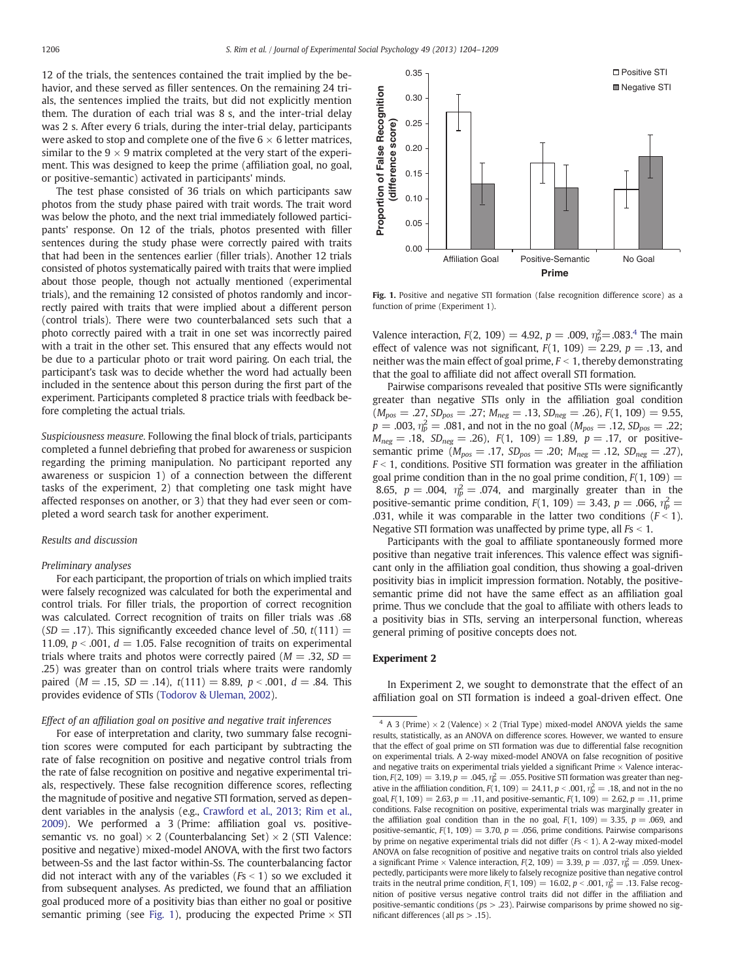12 of the trials, the sentences contained the trait implied by the behavior, and these served as filler sentences. On the remaining 24 trials, the sentences implied the traits, but did not explicitly mention them. The duration of each trial was 8 s, and the inter-trial delay was 2 s. After every 6 trials, during the inter-trial delay, participants were asked to stop and complete one of the five  $6 \times 6$  letter matrices, similar to the  $9 \times 9$  matrix completed at the very start of the experiment. This was designed to keep the prime (affiliation goal, no goal, or positive-semantic) activated in participants' minds.

The test phase consisted of 36 trials on which participants saw photos from the study phase paired with trait words. The trait word was below the photo, and the next trial immediately followed participants' response. On 12 of the trials, photos presented with filler sentences during the study phase were correctly paired with traits that had been in the sentences earlier (filler trials). Another 12 trials consisted of photos systematically paired with traits that were implied about those people, though not actually mentioned (experimental trials), and the remaining 12 consisted of photos randomly and incorrectly paired with traits that were implied about a different person (control trials). There were two counterbalanced sets such that a photo correctly paired with a trait in one set was incorrectly paired with a trait in the other set. This ensured that any effects would not be due to a particular photo or trait word pairing. On each trial, the participant's task was to decide whether the word had actually been included in the sentence about this person during the first part of the experiment. Participants completed 8 practice trials with feedback before completing the actual trials.

Suspiciousness measure. Following the final block of trials, participants completed a funnel debriefing that probed for awareness or suspicion regarding the priming manipulation. No participant reported any awareness or suspicion 1) of a connection between the different tasks of the experiment, 2) that completing one task might have affected responses on another, or 3) that they had ever seen or completed a word search task for another experiment.

#### Results and discussion

#### Preliminary analyses

For each participant, the proportion of trials on which implied traits were falsely recognized was calculated for both the experimental and control trials. For filler trials, the proportion of correct recognition was calculated. Correct recognition of traits on filler trials was .68  $(SD = .17)$ . This significantly exceeded chance level of .50,  $t(111) =$ 11.09,  $p < .001$ ,  $d = 1.05$ . False recognition of traits on experimental trials where traits and photos were correctly paired ( $M = .32$ , SD = .25) was greater than on control trials where traits were randomly paired  $(M = .15, SD = .14)$ ,  $t(111) = 8.89, p < .001, d = .84$ . This provides evidence of STIs ([Todorov & Uleman, 2002](#page-5-0)).

# Effect of an affiliation goal on positive and negative trait inferences

For ease of interpretation and clarity, two summary false recognition scores were computed for each participant by subtracting the rate of false recognition on positive and negative control trials from the rate of false recognition on positive and negative experimental trials, respectively. These false recognition difference scores, reflecting the magnitude of positive and negative STI formation, served as dependent variables in the analysis (e.g., [Crawford et al., 2013; Rim et al.,](#page-5-0) [2009\)](#page-5-0). We performed a 3 (Prime: affiliation goal vs. positivesemantic vs. no goal)  $\times$  2 (Counterbalancing Set)  $\times$  2 (STI Valence: positive and negative) mixed-model ANOVA, with the first two factors between-Ss and the last factor within-Ss. The counterbalancing factor did not interact with any of the variables ( $Fs < 1$ ) so we excluded it from subsequent analyses. As predicted, we found that an affiliation goal produced more of a positivity bias than either no goal or positive semantic priming (see Fig. 1), producing the expected Prime  $\times$  STI



Fig. 1. Positive and negative STI formation (false recognition difference score) as a function of prime (Experiment 1).

Valence interaction,  $F(2, 109) = 4.92$ ,  $p = .009$ ,  $\eta_p^2 = .083$ .<sup>4</sup> The main effect of valence was not significant,  $F(1, 109) = 2.29$ ,  $p = .13$ , and neither was the main effect of goal prime,  $F < 1$ , thereby demonstrating that the goal to affiliate did not affect overall STI formation.

Pairwise comparisons revealed that positive STIs were significantly greater than negative STIs only in the affiliation goal condition  $(M_{pos} = .27, SD_{pos} = .27; M_{neg} = .13, SD_{neg} = .26)$ ,  $F(1, 109) = 9.55$ ,  $p = .003$ ,  $\eta_p^2 = .081$ , and not in the no goal ( $M_{pos} = .12$ ,  $SD_{pos} = .22$ ;  $M_{\text{neg}} = .18$ ,  $SD_{\text{neg}} = .26$ ),  $F(1, 109) = 1.89$ ,  $p = .17$ , or positivesemantic prime  $(M_{pos} = .17, SD_{pos} = .20; M_{neg} = .12, SD_{neg} = .27)$ ,  $F < 1$ , conditions. Positive STI formation was greater in the affiliation goal prime condition than in the no goal prime condition,  $F(1, 109) =$ 8.65,  $p = .004$ ,  $\eta_p^2 = .074$ , and marginally greater than in the positive-semantic prime condition,  $F(1, 109) = 3.43$ ,  $p = .066$ ,  $\eta_p^2 =$ .031, while it was comparable in the latter two conditions  $(F < 1)$ . Negative STI formation was unaffected by prime type, all  $Fs < 1$ .

Participants with the goal to affiliate spontaneously formed more positive than negative trait inferences. This valence effect was significant only in the affiliation goal condition, thus showing a goal-driven positivity bias in implicit impression formation. Notably, the positivesemantic prime did not have the same effect as an affiliation goal prime. Thus we conclude that the goal to affiliate with others leads to a positivity bias in STIs, serving an interpersonal function, whereas general priming of positive concepts does not.

### Experiment 2

In Experiment 2, we sought to demonstrate that the effect of an affiliation goal on STI formation is indeed a goal-driven effect. One

 $4$  A 3 (Prime)  $\times$  2 (Valence)  $\times$  2 (Trial Type) mixed-model ANOVA yields the same results, statistically, as an ANOVA on difference scores. However, we wanted to ensure that the effect of goal prime on STI formation was due to differential false recognition on experimental trials. A 2-way mixed-model ANOVA on false recognition of positive and negative traits on experimental trials yielded a significant Prime  $\times$  Valence interaction,  $F(2, 109) = 3.19$ ,  $p = .045$ ,  $\eta_p^2 = .055$ . Positive STI formation was greater than negative in the affiliation condition,  $F(1, 109) = 24.11$ ,  $p < .001$ ,  $\eta_p^2 = .18$ , and not in the no goal,  $F(1, 109) = 2.63$ ,  $p = .11$ , and positive-semantic,  $F(1, 109) = 2.62$ ,  $p = .11$ , prime conditions. False recognition on positive, experimental trials was marginally greater in the affiliation goal condition than in the no goal,  $F(1, 109) = 3.35$ ,  $p = .069$ , and positive-semantic,  $F(1, 109) = 3.70$ ,  $p = .056$ , prime conditions. Pairwise comparisons by prime on negative experimental trials did not differ ( $Fs < 1$ ). A 2-way mixed-model ANOVA on false recognition of positive and negative traits on control trials also yielded a significant Prime  $\times$  Valence interaction,  $F(2, 109) = 3.39$ ,  $p = .037$ ,  $\eta_p^2 = .059$ . Unexpectedly, participants were more likely to falsely recognize positive than negative control traits in the neutral prime condition,  $F(1, 109) = 16.02$ ,  $p < .001$ ,  $\eta_p^2 = .13$ . False recognition of positive versus negative control traits did not differ in the affiliation and positive-semantic conditions ( $ps > .23$ ). Pairwise comparisons by prime showed no significant differences (all  $ps > .15$ ).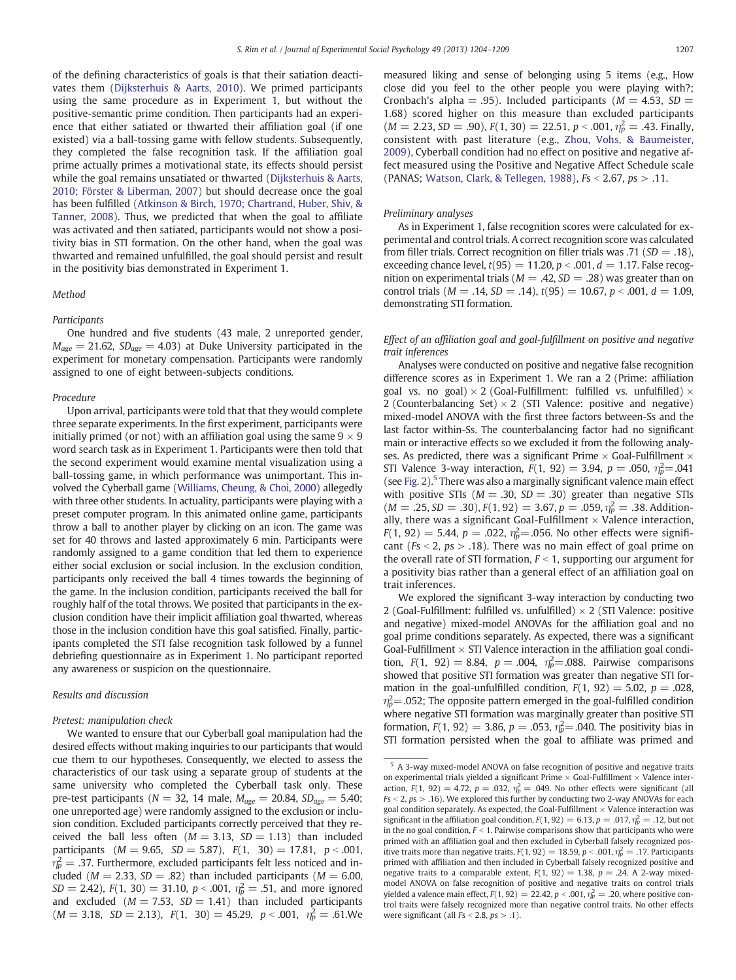of the defining characteristics of goals is that their satiation deactivates them ([Dijksterhuis & Aarts, 2010](#page-5-0)). We primed participants using the same procedure as in Experiment 1, but without the positive-semantic prime condition. Then participants had an experience that either satiated or thwarted their affiliation goal (if one existed) via a ball-tossing game with fellow students. Subsequently, they completed the false recognition task. If the affiliation goal prime actually primes a motivational state, its effects should persist while the goal remains unsatiated or thwarted ([Dijksterhuis & Aarts,](#page-5-0) [2010; Förster & Liberman, 2007](#page-5-0)) but should decrease once the goal has been fulfilled [\(Atkinson & Birch, 1970; Chartrand, Huber, Shiv, &](#page-4-0) [Tanner, 2008\)](#page-4-0). Thus, we predicted that when the goal to affiliate was activated and then satiated, participants would not show a positivity bias in STI formation. On the other hand, when the goal was thwarted and remained unfulfilled, the goal should persist and result in the positivity bias demonstrated in Experiment 1.

# Method

#### Participants

One hundred and five students (43 male, 2 unreported gender,  $M_{age} = 21.62$ ,  $SD_{age} = 4.03$ ) at Duke University participated in the experiment for monetary compensation. Participants were randomly assigned to one of eight between-subjects conditions.

#### Procedure

Upon arrival, participants were told that that they would complete three separate experiments. In the first experiment, participants were initially primed (or not) with an affiliation goal using the same  $9 \times 9$ word search task as in Experiment 1. Participants were then told that the second experiment would examine mental visualization using a ball-tossing game, in which performance was unimportant. This involved the Cyberball game ([Williams, Cheung, & Choi, 2000\)](#page-5-0) allegedly with three other students. In actuality, participants were playing with a preset computer program. In this animated online game, participants throw a ball to another player by clicking on an icon. The game was set for 40 throws and lasted approximately 6 min. Participants were randomly assigned to a game condition that led them to experience either social exclusion or social inclusion. In the exclusion condition, participants only received the ball 4 times towards the beginning of the game. In the inclusion condition, participants received the ball for roughly half of the total throws. We posited that participants in the exclusion condition have their implicit affiliation goal thwarted, whereas those in the inclusion condition have this goal satisfied. Finally, participants completed the STI false recognition task followed by a funnel debriefing questionnaire as in Experiment 1. No participant reported any awareness or suspicion on the questionnaire.

# Results and discussion

# Pretest: manipulation check

We wanted to ensure that our Cyberball goal manipulation had the desired effects without making inquiries to our participants that would cue them to our hypotheses. Consequently, we elected to assess the characteristics of our task using a separate group of students at the same university who completed the Cyberball task only. These pre-test participants ( $N = 32$ , 14 male,  $M_{age} = 20.84$ ,  $SD_{age} = 5.40$ ; one unreported age) were randomly assigned to the exclusion or inclusion condition. Excluded participants correctly perceived that they received the ball less often ( $M = 3.13$ ,  $SD = 1.13$ ) than included participants ( $M = 9.65$ ,  $SD = 5.87$ ),  $F(1, 30) = 17.81$ ,  $p < .001$ ,  $\eta_p^2 =$  .37. Furthermore, excluded participants felt less noticed and included ( $M = 2.33$ ,  $SD = .82$ ) than included participants ( $M = 6.00$ ,  $SD = 2.42$ ),  $F(1, 30) = 31.10$ ,  $p < .001$ ,  $\eta_p^2 = .51$ , and more ignored and excluded ( $M = 7.53$ ,  $SD = 1.41$ ) than included participants  $(M = 3.18, SD = 2.13), F(1, 30) = 45.29, p < .001, \eta_p^2 = .61$ .We

measured liking and sense of belonging using 5 items (e.g., How close did you feel to the other people you were playing with?; Cronbach's alpha = .95). Included participants ( $M = 4.53$ ,  $SD =$ 1.68) scored higher on this measure than excluded participants  $(M = 2.23, SD = .90), F(1, 30) = 22.51, p < .001, \eta_p^2 = .43.$  Finally, consistent with past literature (e.g., [Zhou, Vohs, & Baumeister,](#page-5-0) [2009](#page-5-0)), Cyberball condition had no effect on positive and negative affect measured using the Positive and Negative Affect Schedule scale (PANAS; [Watson, Clark, & Tellegen, 1988](#page-5-0)),  $Fs < 2.67$ ,  $ps > .11$ .

#### Preliminary analyses

As in Experiment 1, false recognition scores were calculated for experimental and control trials. A correct recognition score was calculated from filler trials. Correct recognition on filler trials was .71 ( $SD = .18$ ), exceeding chance level,  $t(95) = 11.20, p < .001, d = 1.17$ . False recognition on experimental trials ( $M = .42$ ,  $SD = .28$ ) was greater than on control trials ( $M = .14$ ,  $SD = .14$ ),  $t(95) = 10.67$ ,  $p < .001$ ,  $d = 1.09$ , demonstrating STI formation.

# Effect of an affiliation goal and goal-fulfillment on positive and negative trait inferences

Analyses were conducted on positive and negative false recognition difference scores as in Experiment 1. We ran a 2 (Prime: affiliation goal vs. no goal)  $\times$  2 (Goal-Fulfillment: fulfilled vs. unfulfilled)  $\times$ 2 (Counterbalancing Set)  $\times$  2 (STI Valence: positive and negative) mixed-model ANOVA with the first three factors between-Ss and the last factor within-Ss. The counterbalancing factor had no significant main or interactive effects so we excluded it from the following analyses. As predicted, there was a significant Prime  $\times$  Goal-Fulfillment  $\times$ STI Valence 3-way interaction,  $F(1, 92) = 3.94$ ,  $p = .050$ ,  $\eta_p^2 = .041$ (see [Fig. 2\)](#page-4-0).<sup>5</sup> There was also a marginally significant valence main effect with positive STIs ( $M = .30$ ,  $SD = .30$ ) greater than negative STIs  $(M = .25, SD = .30), F(1, 92) = 3.67, p = .059, \eta_p^2 = .38$ . Additionally, there was a significant Goal-Fulfillment  $\times$  Valence interaction,  $F(1, 92) = 5.44$ ,  $p = .022$ ,  $\eta_p^2 = .056$ . No other effects were significant ( $Fs < 2$ ,  $ps > .18$ ). There was no main effect of goal prime on the overall rate of STI formation,  $F < 1$ , supporting our argument for a positivity bias rather than a general effect of an affiliation goal on trait inferences.

We explored the significant 3-way interaction by conducting two 2 (Goal-Fulfillment: fulfilled vs. unfulfilled)  $\times$  2 (STI Valence: positive and negative) mixed-model ANOVAs for the affiliation goal and no goal prime conditions separately. As expected, there was a significant Goal-Fulfillment  $\times$  STI Valence interaction in the affiliation goal condition,  $F(1, 92) = 8.84$ ,  $p = .004$ ,  $\eta_p^2 = .088$ . Pairwise comparisons showed that positive STI formation was greater than negative STI formation in the goal-unfulfilled condition,  $F(1, 92) = 5.02$ ,  $p = .028$ ,  $\eta^2_p$ = .052; The opposite pattern emerged in the goal-fulfilled condition where negative STI formation was marginally greater than positive STI formation,  $F(1, 92) = 3.86$ ,  $p = .053$ ,  $\eta_p^2 = .040$ . The positivity bias in STI formation persisted when the goal to affiliate was primed and

<sup>5</sup> A 3-way mixed-model ANOVA on false recognition of positive and negative traits on experimental trials yielded a significant Prime  $\times$  Goal-Fulfillment  $\times$  Valence interaction,  $F(1, 92) = 4.72$ ,  $p = .032$ ,  $\eta_p^2 = .049$ . No other effects were significant (all  $Fs < 2, ps > .16$ ). We explored this further by conducting two 2-way ANOVAs for each goal condition separately. As expected, the Goal-Fulfillment  $\times$  Valence interaction was significant in the affiliation goal condition,  $F(1, 92) = 6.13$ ,  $p = .017$ ,  $\eta_p^2 = .12$ , but not in the no goal condition,  $F < 1$ . Pairwise comparisons show that participants who were primed with an affiliation goal and then excluded in Cyberball falsely recognized positive traits more than negative traits,  $F(1, 92) = 18.59$ ,  $p < .001$ ,  $\eta_p^2 = .17$ . Participants primed with affiliation and then included in Cyberball falsely recognized positive and negative traits to a comparable extent,  $F(1, 92) = 1.38$ ,  $p = .24$ . A 2-way mixedmodel ANOVA on false recognition of positive and negative traits on control trials yielded a valence main effect, F(1, 92) = 22.42, p < .001,  $\eta_p^2 =$  .20, where positive control traits were falsely recognized more than negative control traits. No other effects were significant (all  $Fs < 2.8$ ,  $ps > .1$ ).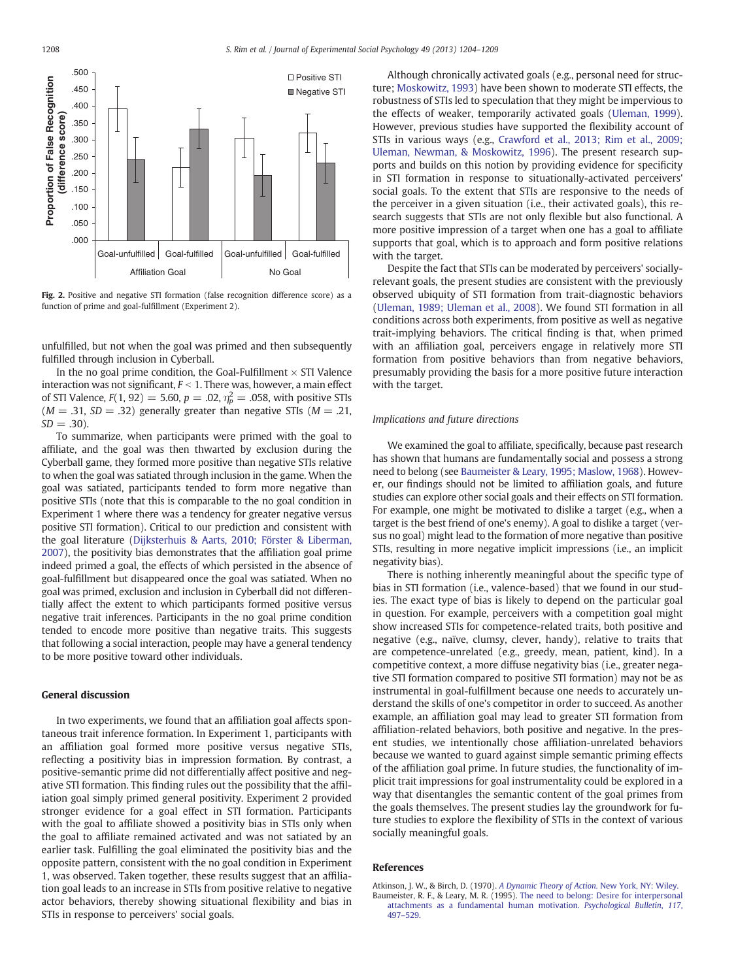<span id="page-4-0"></span>

Fig. 2. Positive and negative STI formation (false recognition difference score) as a function of prime and goal-fulfillment (Experiment 2).

unfulfilled, but not when the goal was primed and then subsequently fulfilled through inclusion in Cyberball.

In the no goal prime condition, the Goal-Fulfillment  $\times$  STI Valence interaction was not significant,  $F < 1$ . There was, however, a main effect of STI Valence,  $F(1, 92) = 5.60$ ,  $p = .02$ ,  $\eta_p^2 = .058$ , with positive STIs  $(M = .31, SD = .32)$  generally greater than negative STIs  $(M = .21,$  $SD = .30$ ).

To summarize, when participants were primed with the goal to affiliate, and the goal was then thwarted by exclusion during the Cyberball game, they formed more positive than negative STIs relative to when the goal was satiated through inclusion in the game. When the goal was satiated, participants tended to form more negative than positive STIs (note that this is comparable to the no goal condition in Experiment 1 where there was a tendency for greater negative versus positive STI formation). Critical to our prediction and consistent with the goal literature ([Dijksterhuis & Aarts, 2010; Förster & Liberman,](#page-5-0) [2007\)](#page-5-0), the positivity bias demonstrates that the affiliation goal prime indeed primed a goal, the effects of which persisted in the absence of goal-fulfillment but disappeared once the goal was satiated. When no goal was primed, exclusion and inclusion in Cyberball did not differentially affect the extent to which participants formed positive versus negative trait inferences. Participants in the no goal prime condition tended to encode more positive than negative traits. This suggests that following a social interaction, people may have a general tendency to be more positive toward other individuals.

# General discussion

In two experiments, we found that an affiliation goal affects spontaneous trait inference formation. In Experiment 1, participants with an affiliation goal formed more positive versus negative STIs, reflecting a positivity bias in impression formation. By contrast, a positive-semantic prime did not differentially affect positive and negative STI formation. This finding rules out the possibility that the affiliation goal simply primed general positivity. Experiment 2 provided stronger evidence for a goal effect in STI formation. Participants with the goal to affiliate showed a positivity bias in STIs only when the goal to affiliate remained activated and was not satiated by an earlier task. Fulfilling the goal eliminated the positivity bias and the opposite pattern, consistent with the no goal condition in Experiment 1, was observed. Taken together, these results suggest that an affiliation goal leads to an increase in STIs from positive relative to negative actor behaviors, thereby showing situational flexibility and bias in STIs in response to perceivers' social goals.

Although chronically activated goals (e.g., personal need for structure; [Moskowitz, 1993\)](#page-5-0) have been shown to moderate STI effects, the robustness of STIs led to speculation that they might be impervious to the effects of weaker, temporarily activated goals ([Uleman, 1999](#page-5-0)). However, previous studies have supported the flexibility account of STIs in various ways (e.g., [Crawford et al., 2013; Rim et al., 2009;](#page-5-0) [Uleman, Newman, & Moskowitz, 1996\)](#page-5-0). The present research supports and builds on this notion by providing evidence for specificity in STI formation in response to situationally-activated perceivers' social goals. To the extent that STIs are responsive to the needs of the perceiver in a given situation (i.e., their activated goals), this research suggests that STIs are not only flexible but also functional. A more positive impression of a target when one has a goal to affiliate supports that goal, which is to approach and form positive relations with the target.

Despite the fact that STIs can be moderated by perceivers' sociallyrelevant goals, the present studies are consistent with the previously observed ubiquity of STI formation from trait-diagnostic behaviors [\(Uleman, 1989; Uleman et al., 2008\)](#page-5-0). We found STI formation in all conditions across both experiments, from positive as well as negative trait-implying behaviors. The critical finding is that, when primed with an affiliation goal, perceivers engage in relatively more STI formation from positive behaviors than from negative behaviors, presumably providing the basis for a more positive future interaction with the target.

#### Implications and future directions

We examined the goal to affiliate, specifically, because past research has shown that humans are fundamentally social and possess a strong need to belong (see Baumeister & Leary, 1995; Maslow, 1968). However, our findings should not be limited to affiliation goals, and future studies can explore other social goals and their effects on STI formation. For example, one might be motivated to dislike a target (e.g., when a target is the best friend of one's enemy). A goal to dislike a target (versus no goal) might lead to the formation of more negative than positive STIs, resulting in more negative implicit impressions (i.e., an implicit negativity bias).

There is nothing inherently meaningful about the specific type of bias in STI formation (i.e., valence-based) that we found in our studies. The exact type of bias is likely to depend on the particular goal in question. For example, perceivers with a competition goal might show increased STIs for competence-related traits, both positive and negative (e.g., naïve, clumsy, clever, handy), relative to traits that are competence-unrelated (e.g., greedy, mean, patient, kind). In a competitive context, a more diffuse negativity bias (i.e., greater negative STI formation compared to positive STI formation) may not be as instrumental in goal-fulfillment because one needs to accurately understand the skills of one's competitor in order to succeed. As another example, an affiliation goal may lead to greater STI formation from affiliation-related behaviors, both positive and negative. In the present studies, we intentionally chose affiliation-unrelated behaviors because we wanted to guard against simple semantic priming effects of the affiliation goal prime. In future studies, the functionality of implicit trait impressions for goal instrumentality could be explored in a way that disentangles the semantic content of the goal primes from the goals themselves. The present studies lay the groundwork for future studies to explore the flexibility of STIs in the context of various socially meaningful goals.

### References

Atkinson, J. W., & Birch, D. (1970). [A Dynamic Theory of Action.](http://refhub.elsevier.com/S0022-1031(13)00103-0/rf0005) New York, NY: Wiley. Baumeister, R. F., & Leary, M. R. (1995). [The need to belong: Desire for interpersonal](http://refhub.elsevier.com/S0022-1031(13)00103-0/rf0010) [attachments as a fundamental human motivation.](http://refhub.elsevier.com/S0022-1031(13)00103-0/rf0010) Psychological Bulletin, 117, 497–[529.](http://refhub.elsevier.com/S0022-1031(13)00103-0/rf0010)